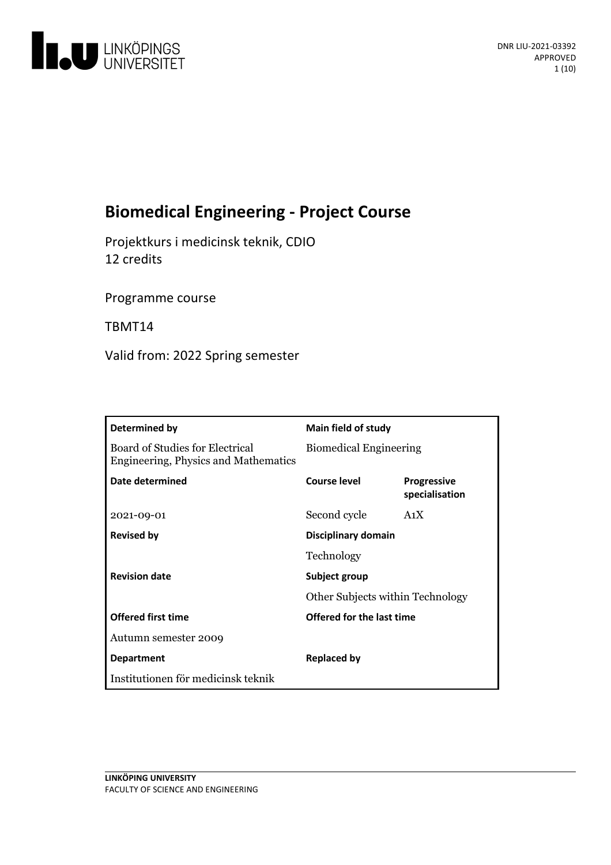

# **BiomedicalEngineering- Project Course**

Projektkurs i medicinsk teknik, CDIO 12 credits

Programme course

TBMT14

Valid from: 2022 Spring semester

| Determined by                                                           | Main field of study           |                                         |  |
|-------------------------------------------------------------------------|-------------------------------|-----------------------------------------|--|
| Board of Studies for Electrical<br>Engineering, Physics and Mathematics | <b>Biomedical Engineering</b> |                                         |  |
| Date determined                                                         | Course level                  | <b>Progressive</b><br>specialisation    |  |
| 2021-09-01                                                              | Second cycle                  | A <sub>1</sub> X                        |  |
| <b>Revised by</b>                                                       | Disciplinary domain           |                                         |  |
|                                                                         | Technology                    |                                         |  |
| <b>Revision date</b>                                                    | Subject group                 |                                         |  |
|                                                                         |                               | <b>Other Subjects within Technology</b> |  |
| <b>Offered first time</b>                                               | Offered for the last time     |                                         |  |
| Autumn semester 2009                                                    |                               |                                         |  |
| <b>Department</b>                                                       | <b>Replaced by</b>            |                                         |  |
| Institutionen för medicinsk teknik                                      |                               |                                         |  |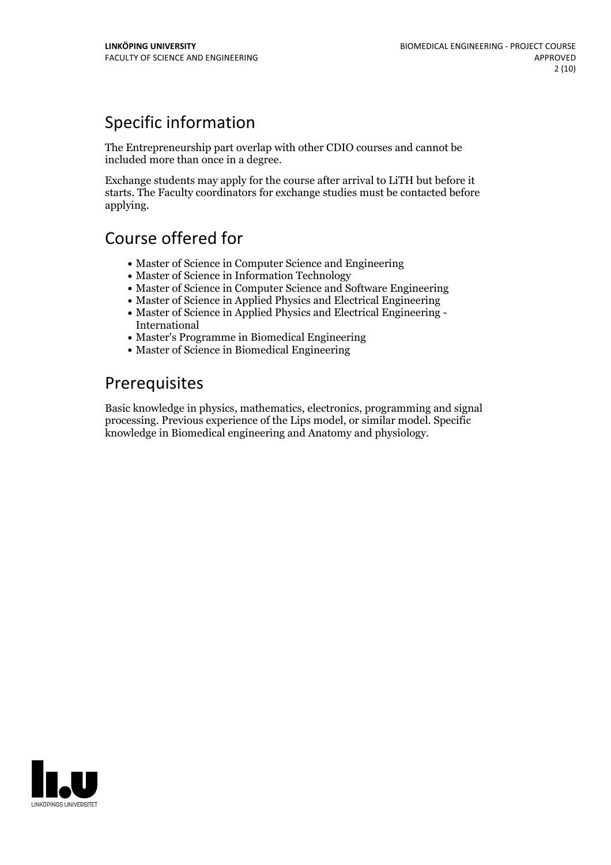## Specific information

The Entrepreneurship part overlap with other CDIO courses and cannot be included more than once in a degree.

Exchange students may apply for the course after arrival to LiTH but before it starts. The Faculty coordinators for exchange studies must be contacted before applying.

## Course offered for

- Master of Science in Computer Science and Engineering
- Master of Science in Information Technology
- Master of Science in Computer Science and Software Engineering
- Master of Science in Applied Physics and Electrical Engineering
- Master of Science in Applied Physics and Electrical Engineering International
- Master's Programme in Biomedical Engineering
- Master of Science in Biomedical Engineering

## Prerequisites

Basic knowledge in physics, mathematics, electronics, programming and signal processing. Previous experience of the Lips model, or similar model. Specific knowledge in Biomedical engineering and Anatomy and physiology.

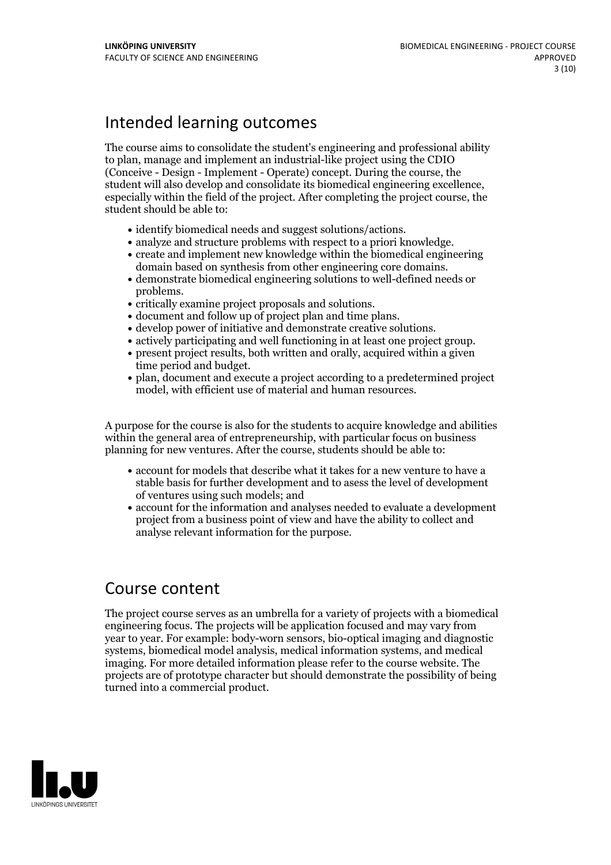## Intended learning outcomes

The course aims to consolidate the student's engineering and professional ability to plan, manage and implement an industrial-like project using the CDIO (Conceive - Design - Implement - Operate) concept. During the course, the student will also develop and consolidate its biomedical engineering excellence, especially within the field of the project. After completing the project course, the student should be able to:

- 
- 
- identify biomedical needs and suggest solutions/actions.<br>• analyze and structure problems with respect to a priori knowledge.<br>• create and implement new knowledge within the biomedical engineering<br>domain based on synthes
- demonstrate biomedical engineering solutions to well-defined needs or • critically examine project proposals and solutions.<br>• document and follow up of project plan and time plans.<br>• develop power of initiative and demonstrate creative solutions.<br>• actively participating and well functioning
- 
- 
- 
- 
- time period and budget.<br>• plan, document and execute a project according to a predetermined project
- model, with efficient use of material and human resources.

A purpose for the course is also for the students to acquire knowledge and abilities within the general area of entrepreneurship, with particular focus on business planning for new ventures. After the course, students should be able to:

- account for models that describe what it takes for a new venture to have a stable basis for further development and to asess the level of development of ventures using such models; and
- account for the information and analyses needed to evaluate a development project from a business point of view and have the ability to collect and analyse relevant information for the purpose.

## Course content

The project course serves as an umbrella for a variety of projects with a biomedical engineering focus. The projects will be application focused and may vary from year to year. For example: body-worn sensors, bio-optical imaging and diagnostic systems, biomedical model analysis, medical information systems, and medical imaging. For more detailed information please refer to the course website. The projects are of prototype character but should demonstrate the possibility of being turned into a commercial product.

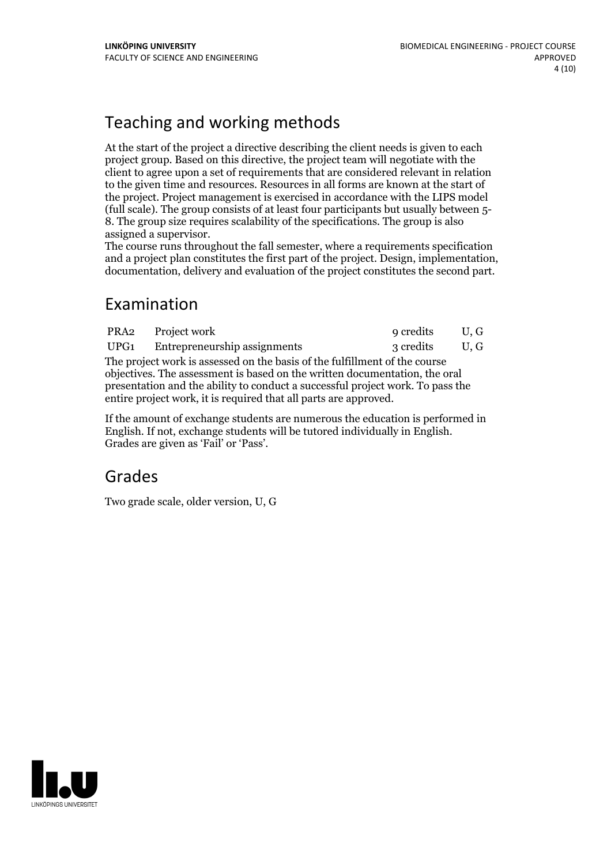## Teaching and working methods

At the start of the project a directive describing the client needs is given to each project group. Based on this directive, the project team will negotiate with the client to agree upon a set of requirements that are considered relevant in relation to the given time and resources. Resources in all forms are known at the start of the project. Project management is exercised in accordance with the LIPS model (full scale). The group consists of at least four participants but usually between 5- 8. The group size requires scalability of the specifications. The group isalso

assigned <sup>a</sup> supervisor. The course runs throughout the fall semester, where <sup>a</sup> requirements specification and <sup>a</sup> project plan constitutes the first part of the project. Design, implementation, documentation, delivery and evaluation of the project constitutes the second part.

## Examination

| PRA2 | Project work                                                                                                                                                                                                                                                                                                   | 9 credits | U.G |  |  |  |
|------|----------------------------------------------------------------------------------------------------------------------------------------------------------------------------------------------------------------------------------------------------------------------------------------------------------------|-----------|-----|--|--|--|
| UPG1 | Entrepreneurship assignments                                                                                                                                                                                                                                                                                   | 3 credits | U.G |  |  |  |
|      | The project work is assessed on the basis of the fulfillment of the course<br>objectives. The assessment is based on the written documentation, the oral<br>presentation and the ability to conduct a successful project work. To pass the<br>entire project work, it is required that all parts are approved. |           |     |  |  |  |

If the amount of exchange students are numerous the education is performed in English. If not, exchange students will be tutored individually in English. Grades are given as'Fail' or 'Pass'.

## Grades

Two grade scale, older version, U, G

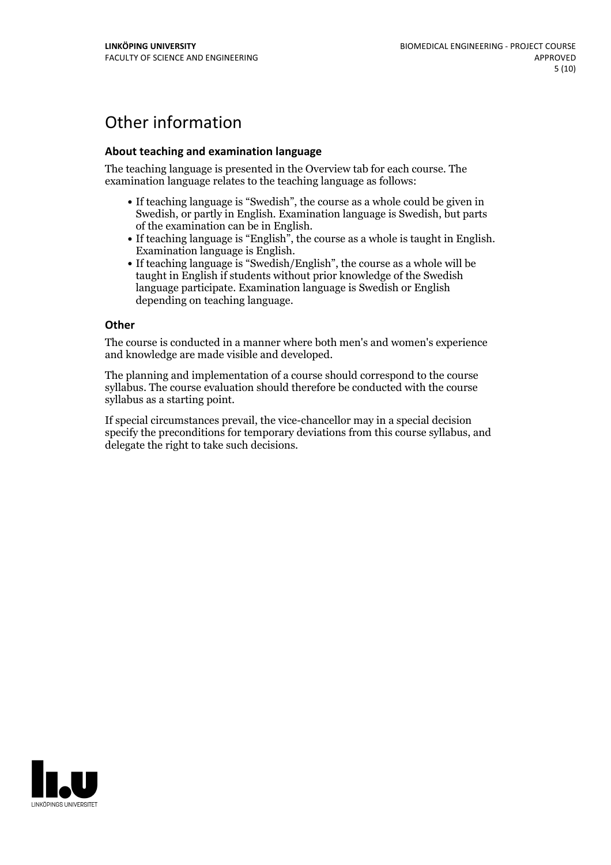## Other information

### **About teaching and examination language**

The teaching language is presented in the Overview tab for each course. The examination language relates to the teaching language as follows:

- If teaching language is "Swedish", the course as a whole could be given in Swedish, or partly in English. Examination language is Swedish, but parts
- of the examination can be in English. If teaching language is "English", the course as <sup>a</sup> whole is taught in English. Examination language is English. If teaching language is "Swedish/English", the course as <sup>a</sup> whole will be
- taught in English if students without prior knowledge of the Swedish language participate. Examination language is Swedish or English depending on teaching language.

#### **Other**

The course is conducted in a manner where both men's and women's experience and knowledge are made visible and developed.

The planning and implementation of a course should correspond to the course syllabus. The course evaluation should therefore be conducted with the course syllabus as a starting point.

If special circumstances prevail, the vice-chancellor may in a special decision specify the preconditions for temporary deviations from this course syllabus, and delegate the right to take such decisions.

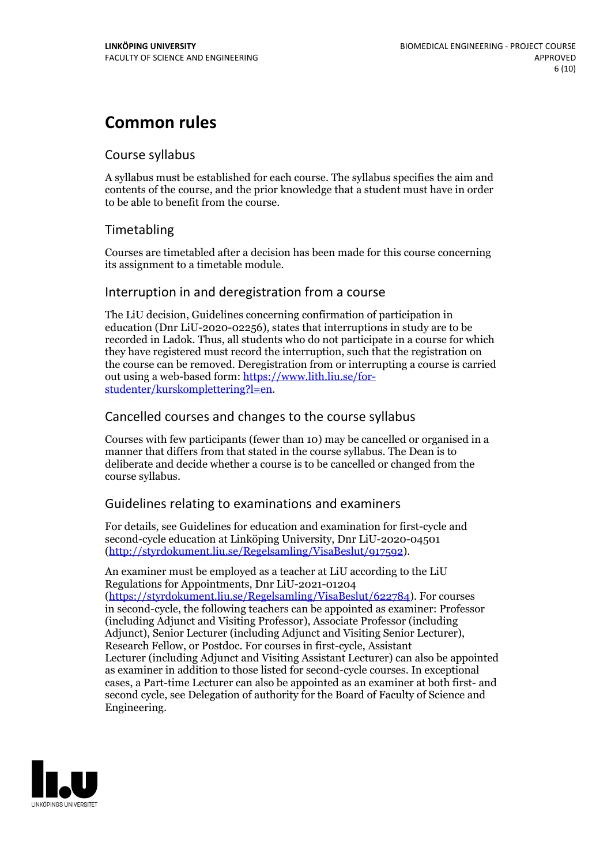## **Common rules**

### Course syllabus

A syllabus must be established for each course. The syllabus specifies the aim and contents of the course, and the prior knowledge that a student must have in order to be able to benefit from the course.

## Timetabling

Courses are timetabled after a decision has been made for this course concerning its assignment to a timetable module.

### Interruption in and deregistration from a course

The LiU decision, Guidelines concerning confirmation of participation in education (Dnr LiU-2020-02256), states that interruptions in study are to be recorded in Ladok. Thus, all students who do not participate in a course for which they have registered must record the interruption, such that the registration on the course can be removed. Deregistration from or interrupting a course is carried out using <sup>a</sup> web-based form: https://www.lith.liu.se/for- [studenter/kurskomplettering?l=en.](https://www.lith.liu.se/for-studenter/kurskomplettering?l=en)

## Cancelled courses and changes to the course syllabus

Courses with few participants (fewer than 10) may be cancelled or organised in a manner that differs from that stated in the course syllabus. The Dean is to deliberate and decide whether a course is to be cancelled or changed from the course syllabus.

## Guidelines relating to examinations and examiners

For details, see Guidelines for education and examination for first-cycle and second-cycle education at Linköping University, Dnr LiU-2020-04501 [\(http://styrdokument.liu.se/Regelsamling/VisaBeslut/917592\)](http://styrdokument.liu.se/Regelsamling/VisaBeslut/917592).

An examiner must be employed as a teacher at LiU according to the LiU Regulations for Appointments, Dnr LiU-2021-01204 [\(https://styrdokument.liu.se/Regelsamling/VisaBeslut/622784](https://styrdokument.liu.se/Regelsamling/VisaBeslut/622784)). For courses in second-cycle, the following teachers can be appointed as examiner: Professor (including Adjunct and Visiting Professor), Associate Professor (including Adjunct), Senior Lecturer (including Adjunct and Visiting Senior Lecturer), Research Fellow, or Postdoc. For courses in first-cycle, Assistant Lecturer (including Adjunct and Visiting Assistant Lecturer) can also be appointed as examiner in addition to those listed for second-cycle courses. In exceptional cases, a Part-time Lecturer can also be appointed as an examiner at both first- and second cycle, see Delegation of authority for the Board of Faculty of Science and Engineering.

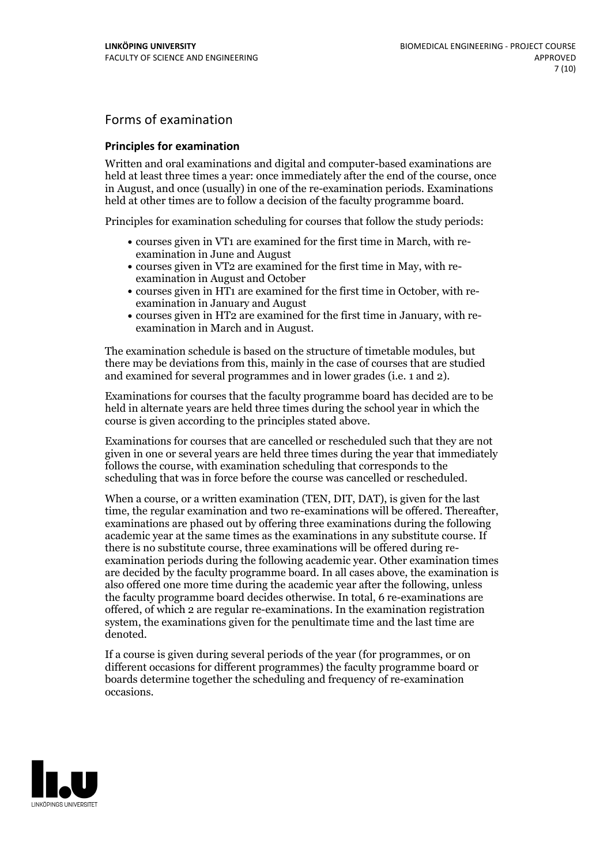## Forms of examination

#### **Principles for examination**

Written and oral examinations and digital and computer-based examinations are held at least three times a year: once immediately after the end of the course, once in August, and once (usually) in one of the re-examination periods. Examinations held at other times are to follow a decision of the faculty programme board.

Principles for examination scheduling for courses that follow the study periods:

- courses given in VT1 are examined for the first time in March, with re-examination in June and August
- courses given in VT2 are examined for the first time in May, with re-examination in August and October
- courses given in HT1 are examined for the first time in October, with re-examination in January and August
- courses given in HT2 are examined for the first time in January, with re-examination in March and in August.

The examination schedule is based on the structure of timetable modules, but there may be deviations from this, mainly in the case of courses that are studied and examined for several programmes and in lower grades (i.e. 1 and 2).

Examinations for courses that the faculty programme board has decided are to be held in alternate years are held three times during the school year in which the course is given according to the principles stated above.

Examinations for courses that are cancelled orrescheduled such that they are not given in one or several years are held three times during the year that immediately follows the course, with examination scheduling that corresponds to the scheduling that was in force before the course was cancelled or rescheduled.

When a course, or a written examination (TEN, DIT, DAT), is given for the last time, the regular examination and two re-examinations will be offered. Thereafter, examinations are phased out by offering three examinations during the following academic year at the same times as the examinations in any substitute course. If there is no substitute course, three examinations will be offered during re- examination periods during the following academic year. Other examination times are decided by the faculty programme board. In all cases above, the examination is also offered one more time during the academic year after the following, unless the faculty programme board decides otherwise. In total, 6 re-examinations are offered, of which 2 are regular re-examinations. In the examination registration system, the examinations given for the penultimate time and the last time are denoted.

If a course is given during several periods of the year (for programmes, or on different occasions for different programmes) the faculty programme board or boards determine together the scheduling and frequency of re-examination occasions.

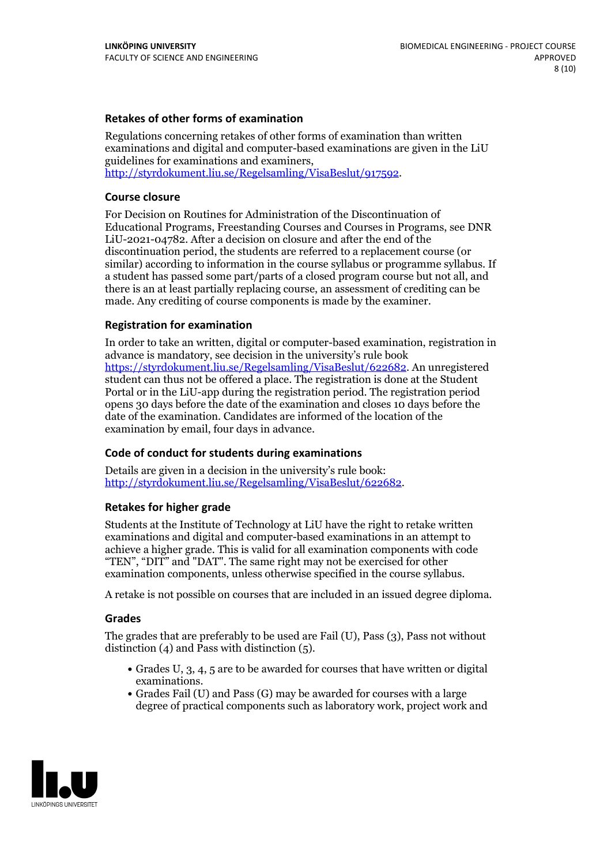### **Retakes of other forms of examination**

Regulations concerning retakes of other forms of examination than written examinations and digital and computer-based examinations are given in the LiU guidelines for examinations and examiners, [http://styrdokument.liu.se/Regelsamling/VisaBeslut/917592.](http://styrdokument.liu.se/Regelsamling/VisaBeslut/917592)

#### **Course closure**

For Decision on Routines for Administration of the Discontinuation of Educational Programs, Freestanding Courses and Courses in Programs, see DNR LiU-2021-04782. After a decision on closure and after the end of the discontinuation period, the students are referred to a replacement course (or similar) according to information in the course syllabus or programme syllabus. If a student has passed some part/parts of a closed program course but not all, and there is an at least partially replacing course, an assessment of crediting can be made. Any crediting of course components is made by the examiner.

### **Registration for examination**

In order to take an written, digital or computer-based examination, registration in advance is mandatory, see decision in the university's rule book [https://styrdokument.liu.se/Regelsamling/VisaBeslut/622682.](https://styrdokument.liu.se/Regelsamling/VisaBeslut/622682) An unregistered student can thus not be offered a place. The registration is done at the Student Portal or in the LiU-app during the registration period. The registration period opens 30 days before the date of the examination and closes 10 days before the date of the examination. Candidates are informed of the location of the examination by email, four days in advance.

### **Code of conduct for students during examinations**

Details are given in a decision in the university's rule book: <http://styrdokument.liu.se/Regelsamling/VisaBeslut/622682>.

#### **Retakes for higher grade**

Students at the Institute of Technology at LiU have the right to retake written examinations and digital and computer-based examinations in an attempt to achieve a higher grade. This is valid for all examination components with code "TEN", "DIT" and "DAT". The same right may not be exercised for other examination components, unless otherwise specified in the course syllabus.

A retake is not possible on courses that are included in an issued degree diploma.

#### **Grades**

The grades that are preferably to be used are Fail (U), Pass (3), Pass not without distinction  $(4)$  and Pass with distinction  $(5)$ .

- Grades U, 3, 4, 5 are to be awarded for courses that have written or digital examinations.<br>• Grades Fail (U) and Pass (G) may be awarded for courses with a large
- degree of practical components such as laboratory work, project work and

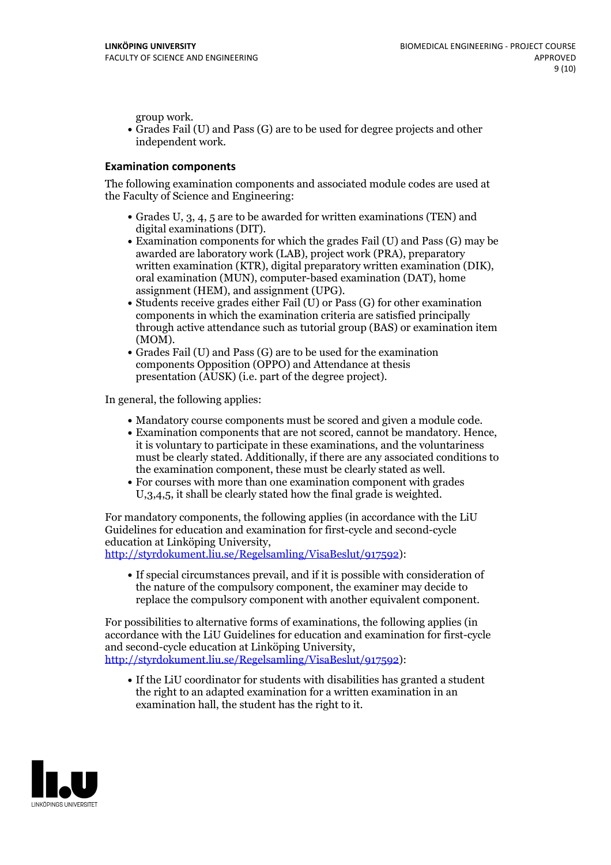group work.<br>• Grades Fail (U) and Pass (G) are to be used for degree projects and other independent work.

### **Examination components**

The following examination components and associated module codes are used at the Faculty of Science and Engineering:

- Grades U, 3, 4, 5 are to be awarded for written examinations (TEN) and
- digital examinations (DIT).<br>• Examination components for which the grades Fail (U) and Pass (G) may be awarded are laboratory work (LAB), project work (PRA), preparatory written examination (KTR), digital preparatory written examination (DIK), oral examination (MUN), computer-based examination (DAT), home
- assignment (HEM), and assignment (UPG).<br>• Students receive grades either Fail (U) or Pass (G) for other examination components in which the examination criteria are satisfied principally through active attendance such as tutorial group (BAS) or examination item
- (MOM).<br>• Grades Fail (U) and Pass (G) are to be used for the examination components Opposition (OPPO) and Attendance at thesis presentation (AUSK) (i.e. part of the degree project).

In general, the following applies:

- 
- Mandatory course components must be scored and given <sup>a</sup> module code. Examination components that are not scored, cannot be mandatory. Hence, it is voluntary to participate in these examinations, and the voluntariness must be clearly stated. Additionally, if there are any associated conditions to
- the examination component, these must be clearly stated as well.<br>• For courses with more than one examination component with grades U,3,4,5, it shall be clearly stated how the final grade is weighted.

For mandatory components, the following applies (in accordance with the LiU Guidelines for education and examination for first-cycle and second-cycle

[http://styrdokument.liu.se/Regelsamling/VisaBeslut/917592\)](http://styrdokument.liu.se/Regelsamling/VisaBeslut/917592):

If special circumstances prevail, and if it is possible with consideration of the nature of the compulsory component, the examiner may decide to replace the compulsory component with another equivalent component.

For possibilities to alternative forms of examinations, the following applies (in accordance with the LiU Guidelines for education and examination for first-cycle [http://styrdokument.liu.se/Regelsamling/VisaBeslut/917592\)](http://styrdokument.liu.se/Regelsamling/VisaBeslut/917592):

If the LiU coordinator for students with disabilities has granted a student the right to an adapted examination for a written examination in an examination hall, the student has the right to it.